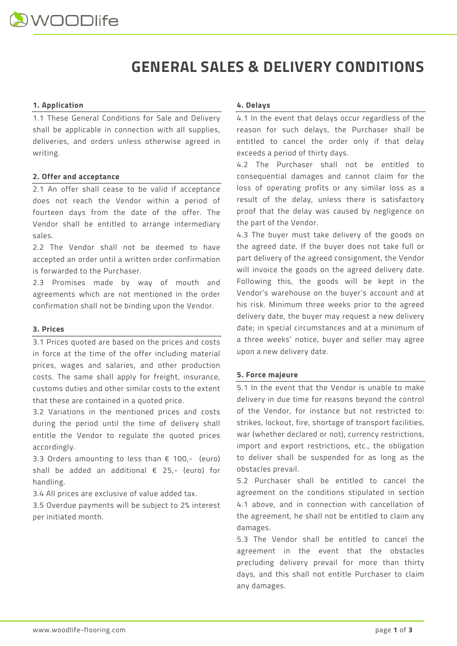# **GENERAL SALES & DELIVERY CONDITIONS**

# **1. Application**

1.1 These General Conditions for Sale and Delivery shall be applicable in connection with all supplies, deliveries, and orders unless otherwise agreed in writing.

# **2. Offer and acceptance**

2.1 An offer shall cease to be valid if acceptance does not reach the Vendor within a period of fourteen days from the date of the offer. The Vendor shall be entitled to arrange intermediary sales.

2.2 The Vendor shall not be deemed to have accepted an order until a written order confirmation is forwarded to the Purchaser.

2.3 Promises made by way of mouth and agreements which are not mentioned in the order confirmation shall not be binding upon the Vendor.

### **3. Prices**

3.1 Prices quoted are based on the prices and costs in force at the time of the offer including material prices, wages and salaries, and other production costs. The same shall apply for freight, insurance, customs duties and other similar costs to the extent that these are contained in a quoted price.

3.2 Variations in the mentioned prices and costs during the period until the time of delivery shall entitle the Vendor to regulate the quoted prices accordingly.

3.3 Orders amounting to less than  $\epsilon$  100,- (euro) shall be added an additional € 25,- (euro) for handling.

3.4 All prices are exclusive of value added tax.

3.5 Overdue payments will be subject to 2% interest per initiated month.

## **4. Delays**

4.1 In the event that delays occur regardless of the reason for such delays, the Purchaser shall be entitled to cancel the order only if that delay exceeds a period of thirty days.

4.2 The Purchaser shall not be entitled to consequential damages and cannot claim for the loss of operating profits or any similar loss as a result of the delay, unless there is satisfactory proof that the delay was caused by negligence on the part of the Vendor.

4.3 The buyer must take delivery of the goods on the agreed date. If the buyer does not take full or part delivery of the agreed consignment, the Vendor will invoice the goods on the agreed delivery date. Following this, the goods will be kept in the Vendor's warehouse on the buyer's account and at his risk. Minimum three weeks prior to the agreed delivery date, the buyer may request a new delivery date; in special circumstances and at a minimum of a three weeks' notice, buyer and seller may agree upon a new delivery date.

### **5. Force majeure**

5.1 In the event that the Vendor is unable to make delivery in due time for reasons beyond the control of the Vendor, for instance but not restricted to: strikes, lockout, fire, shortage of transport facilities, war (whether declared or not), currency restrictions, import and export restrictions, etc., the obligation to deliver shall be suspended for as long as the obstacles prevail.

5.2 Purchaser shall be entitled to cancel the agreement on the conditions stipulated in section 4.1 above, and in connection with cancellation of the agreement, he shall not be entitled to claim any damages.

5.3 The Vendor shall be entitled to cancel the agreement in the event that the obstacles precluding delivery prevail for more than thirty days, and this shall not entitle Purchaser to claim any damages.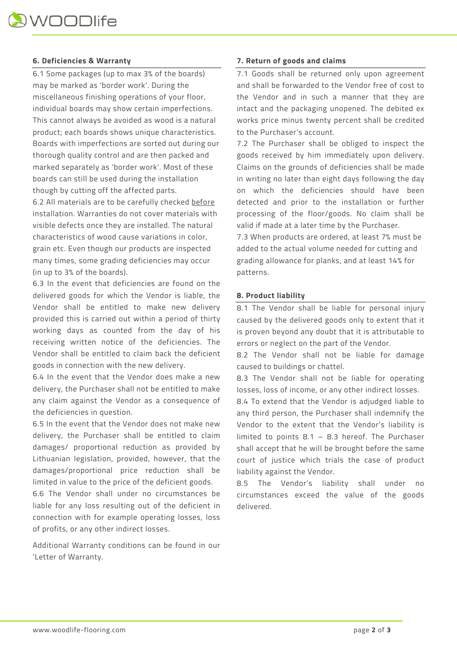# **6. Deficiencies & Warranty**

6.1 Some packages (up to max 3% of the boards) may be marked as 'border work'. During the miscellaneous finishing operations of your floor, individual boards may show certain imperfections. This cannot always be avoided as wood is a natural product; each boards shows unique characteristics. Boards with imperfections are sorted out during our thorough quality control and are then packed and marked separately as 'border work'. Most of these boards can still be used during the installation though by cutting off the affected parts.

6.2 All materials are to be carefully checked before installation. Warranties do not cover materials with visible defects once they are installed. The natural characteristics of wood cause variations in color, grain etc. Even though our products are inspected many times, some grading deficiencies may occur (in up to 3% of the boards).

6.3 In the event that deficiencies are found on the delivered goods for which the Vendor is liable, the Vendor shall be entitled to make new delivery provided this is carried out within a period of thirty working days as counted from the day of his receiving written notice of the deficiencies. The Vendor shall be entitled to claim back the deficient goods in connection with the new delivery.

6.4 In the event that the Vendor does make a new delivery, the Purchaser shall not be entitled to make any claim against the Vendor as a consequence of the deficiencies in question.

6.5 In the event that the Vendor does not make new delivery, the Purchaser shall be entitled to claim damages/ proportional reduction as provided by Lithuanian legislation, provided, however, that the damages/proportional price reduction shall be limited in value to the price of the deficient goods.

6.6 The Vendor shall under no circumstances be liable for any loss resulting out of the deficient in connection with for example operating losses, loss of profits, or any other indirect losses.

Additional Warranty conditions can be found in our 'Letter of Warranty.

### **7. Return of goods and claims**

7.1 Goods shall be returned only upon agreement and shall be forwarded to the Vendor free of cost to the Vendor and in such a manner that they are intact and the packaging unopened. The debited ex works price minus twenty percent shall be credited to the Purchaser's account.

7.2 The Purchaser shall be obliged to inspect the goods received by him immediately upon delivery. Claims on the grounds of deficiencies shall be made in writing no later than eight days following the day on which the deficiencies should have been detected and prior to the installation or further processing of the floor/goods. No claim shall be valid if made at a later time by the Purchaser.

7.3 When products are ordered, at least 7% must be added to the actual volume needed for cutting and grading allowance for planks, and at least 14% for patterns.

# **8. Product liability**

8.1 The Vendor shall be liable for personal injury caused by the delivered goods only to extent that it is proven beyond any doubt that it is attributable to errors or neglect on the part of the Vendor.

8.2 The Vendor shall not be liable for damage caused to buildings or chattel.

8.3 The Vendor shall not be liable for operating losses, loss of income, or any other indirect losses.

8.4 To extend that the Vendor is adjudged liable to any third person, the Purchaser shall indemnify the Vendor to the extent that the Vendor's liability is limited to points 8.1 – 8.3 hereof. The Purchaser shall accept that he will be brought before the same court of justice which trials the case of product liability against the Vendor.

8.5 The Vendor's liability shall under no circumstances exceed the value of the goods delivered.